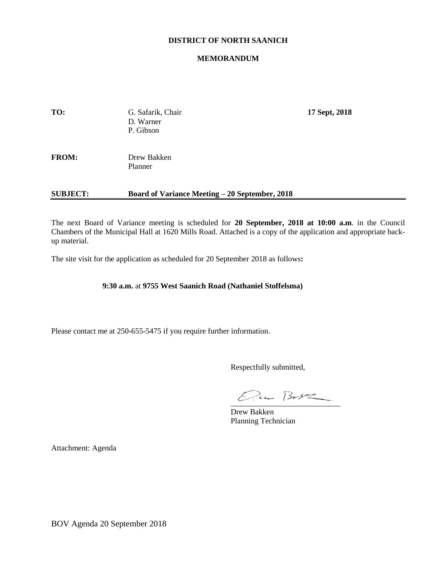# **DISTRICT OF NORTH SAANICH**

# **MEMORANDUM**

| <b>SUBJECT:</b> | <b>Board of Variance Meeting – 20 September, 2018</b> |               |  |
|-----------------|-------------------------------------------------------|---------------|--|
| <b>FROM:</b>    | Drew Bakken<br>Planner                                |               |  |
| TO:             | G. Safarik, Chair<br>D. Warner<br>P. Gibson           | 17 Sept, 2018 |  |

The next Board of Variance meeting is scheduled for **20 September, 2018 at 10:00 a.m**. in the Council Chambers of the Municipal Hall at 1620 Mills Road. Attached is a copy of the application and appropriate backup material.

The site visit for the application as scheduled for 20 September 2018 as follows**:**

# **9:30 a.m.** at **9755 West Saanich Road (Nathaniel Stoffelsma)**

Please contact me at 250-655-5475 if you require further information.

Respectfully submitted,

 $Qua B-V2$ 

Drew Bakken Planning Technician

Attachment: Agenda